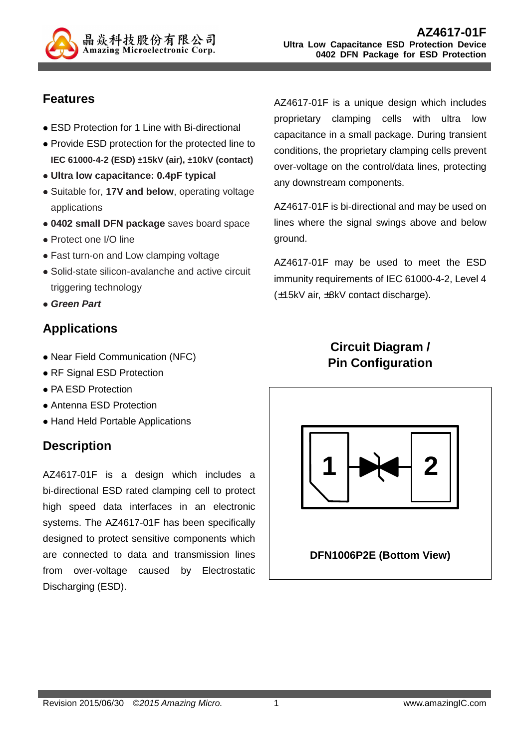

## **Features**

- ESD Protection for 1 Line with Bi-directional
- Provide ESD protection for the protected line to **IEC 61000-4-2 (ESD) ±15kV (air), ±10kV (contact)**
- **Ultra low capacitance: 0.4pF typical**
- Suitable for, **17V and below**, operating voltage applications
- **0402 small DFN package** saves board space
- Protect one I/O line
- Fast turn-on and Low clamping voltage
- Solid-state silicon-avalanche and active circuit triggering technology
- **Green Part**

## **Applications**

- Near Field Communication (NFC)
- RF Signal ESD Protection
- PA ESD Protection
- Antenna ESD Protection
- Hand Held Portable Applications

## **Description**

AZ4617-01F is a design which includes a bi-directional ESD rated clamping cell to protect high speed data interfaces in an electronic systems. The AZ4617-01F has been specifically designed to protect sensitive components which are connected to data and transmission lines from over-voltage caused by Electrostatic Discharging (ESD).

AZ4617-01F is a unique design which includes proprietary clamping cells with ultra low capacitance in a small package. During transient conditions, the proprietary clamping cells prevent over-voltage on the control/data lines, protecting any downstream components.

AZ4617-01F is bi-directional and may be used on lines where the signal swings above and below ground.

AZ4617-01F may be used to meet the ESD immunity requirements of IEC 61000-4-2, Level 4 (±15kV air, ±8kV contact discharge).

# **Circuit Diagram / Pin Configuration**

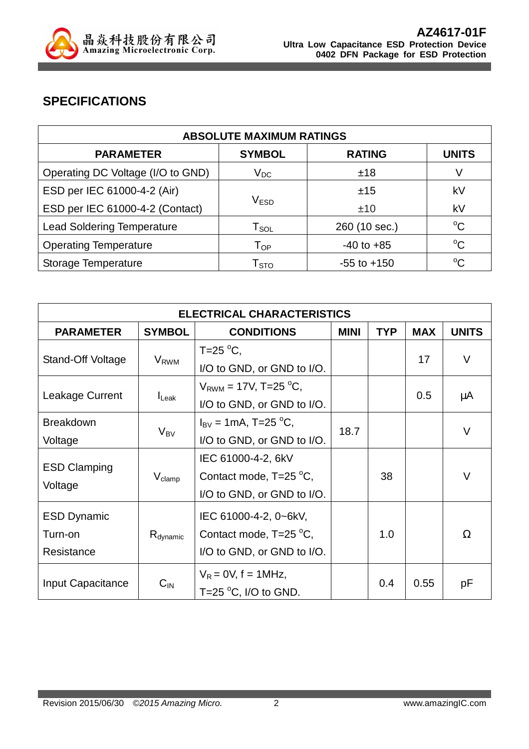

## **SPECIFICATIONS**

| <b>ABSOLUTE MAXIMUM RATINGS</b>   |                              |                 |              |
|-----------------------------------|------------------------------|-----------------|--------------|
| <b>PARAMETER</b>                  | <b>SYMBOL</b>                | <b>RATING</b>   | <b>UNITS</b> |
| Operating DC Voltage (I/O to GND) | $V_{DC}$                     | ±18             | V            |
| ESD per IEC 61000-4-2 (Air)       |                              | ±15             | kV           |
| ESD per IEC 61000-4-2 (Contact)   | V <sub>ESD</sub>             | ±10             | kV           |
| <b>Lead Soldering Temperature</b> | $\mathsf{T}_{\mathsf{SOL}}$  | 260 (10 sec.)   | $^{\circ}C$  |
| <b>Operating Temperature</b>      | ${\mathsf T}_{\mathsf {OP}}$ | $-40$ to $+85$  | $^{\circ}C$  |
| Storage Temperature               | $\mathsf{T}_{\text{STO}}$    | $-55$ to $+150$ | $^{\circ}C$  |

| <b>ELECTRICAL CHARACTERISTICS</b>           |                         |                                                                               |      |            |            |              |
|---------------------------------------------|-------------------------|-------------------------------------------------------------------------------|------|------------|------------|--------------|
| <b>PARAMETER</b>                            | <b>SYMBOL</b>           | <b>CONDITIONS</b><br><b>MINI</b>                                              |      | <b>TYP</b> | <b>MAX</b> | <b>UNITS</b> |
| Stand-Off Voltage                           | <b>V</b> <sub>RWM</sub> | T=25 $\mathrm{^{\circ}C}$ ,<br>I/O to GND, or GND to I/O.                     |      |            | 17         | $\vee$       |
| Leakage Current                             | $I_{\text{Leak}}$       | $V_{RWM}$ = 17V, T=25 <sup>o</sup> C,<br>I/O to GND, or GND to I/O.           |      |            | 0.5        | μA           |
| <b>Breakdown</b><br>Voltage                 | $V_{BV}$                | $I_{\rm BV}$ = 1mA, T=25 °C,<br>I/O to GND, or GND to I/O.                    | 18.7 |            |            | $\vee$       |
| <b>ESD Clamping</b><br>Voltage              | $V_{\text{clamp}}$      | IEC 61000-4-2, 6kV<br>Contact mode, T=25 °C,<br>I/O to GND, or GND to I/O.    |      | 38         |            | V            |
| <b>ESD Dynamic</b><br>Turn-on<br>Resistance | $R_{\text{dynamic}}$    | IEC 61000-4-2, 0~6kV,<br>Contact mode, T=25 °C,<br>I/O to GND, or GND to I/O. |      | 1.0        |            | $\Omega$     |
| Input Capacitance                           | $C_{IN}$                | $V_R = 0V$ , f = 1MHz,<br>T=25 $\degree$ C, I/O to GND.                       |      | 0.4        | 0.55       | рF           |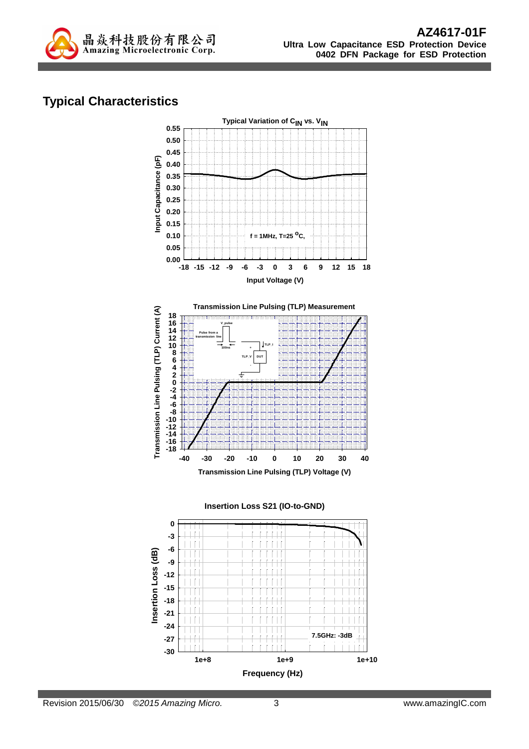

# **Typical Characteristics**

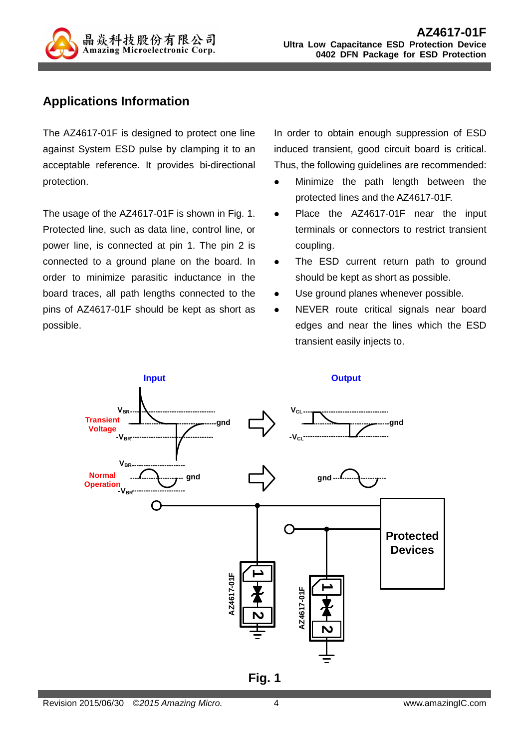

### **Applications Information**

The AZ4617-01F is designed to protect one line against System ESD pulse by clamping it to an acceptable reference. It provides bi-directional protection.

The usage of the AZ4617-01F is shown in Fig. 1. Protected line, such as data line, control line, or power line, is connected at pin 1. The pin 2 is connected to a ground plane on the board. In order to minimize parasitic inductance in the board traces, all path lengths connected to the pins of AZ4617-01F should be kept as short as possible.

In order to obtain enough suppression of ESD induced transient, good circuit board is critical. Thus, the following guidelines are recommended:

- Minimize the path length between the protected lines and the AZ4617-01F.
- Place the AZ4617-01F near the input terminals or connectors to restrict transient coupling.
- The ESD current return path to ground should be kept as short as possible.
- Use ground planes whenever possible.
- NEVER route critical signals near board edges and near the lines which the ESD transient easily injects to.

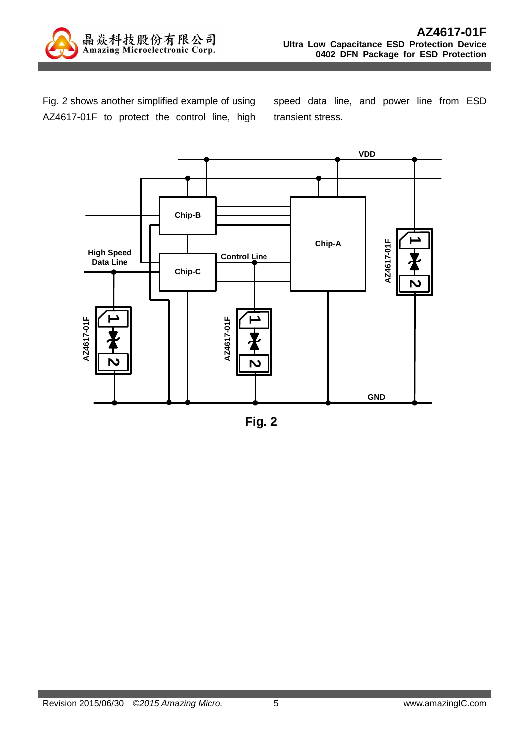

Fig. 2 shows another simplified example of using AZ4617-01F to protect the control line, high speed data line, and power line from ESD transient stress.



**Fig. 2**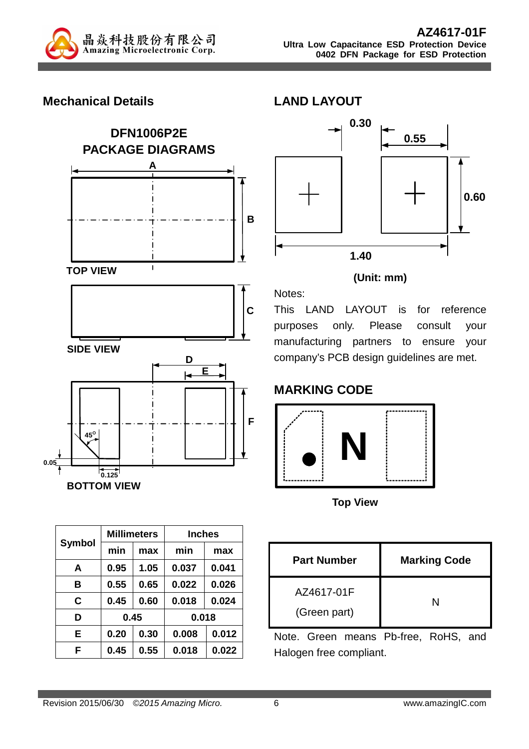

#### **Mechanical Details**



| <b>Symbol</b> |      | <b>Millimeters</b> | <b>Inches</b> |       |  |  |
|---------------|------|--------------------|---------------|-------|--|--|
|               | min  | max                | min           | max   |  |  |
| A             | 0.95 | 1.05               | 0.037         | 0.041 |  |  |
| в             | 0.55 | 0.65               | 0.022         | 0.026 |  |  |
| C             | 0.45 | 0.60               | 0.018         | 0.024 |  |  |
| D             | 0.45 |                    |               | 0.018 |  |  |
| Е             | 0.20 | 0.30               | 0.008         | 0.012 |  |  |
| F             | 0.45 | 0.55               | 0.018         | 0.022 |  |  |



#### **(Unit: mm)**

This LAND LAYOUT is for reference purposes only. Please consult your manufacturing partners to ensure your company's PCB design guidelines are met.

# **MARKING CODE**

Notes:

**LAND LAYOUT** 



**Top View** 

| <b>Part Number</b> | <b>Marking Code</b> |
|--------------------|---------------------|
| AZ4617-01F         |                     |
| (Green part)       |                     |

Note. Green means Pb-free, RoHS, and Halogen free compliant.